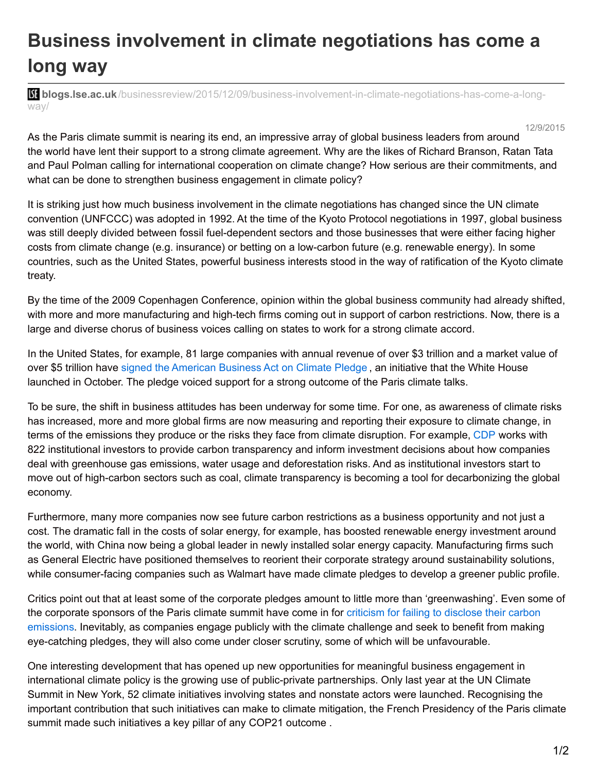## **Business involvement in climate negotiations has come a long way**

**blistings.lse.ac.uk**[/businessreview/2015/12/09/business-involvement-in-climate-negotiations-has-come-a-long](http://blogs.lse.ac.uk/businessreview/2015/12/09/business-involvement-in-climate-negotiations-has-come-a-long-way/)way/

12/9/2015

As the Paris climate summit is nearing its end, an impressive array of global business leaders from around the world have lent their support to a strong climate agreement. Why are the likes of Richard Branson, Ratan Tata and Paul Polman calling for international cooperation on climate change? How serious are their commitments, and what can be done to strengthen business engagement in climate policy?

It is striking just how much business involvement in the climate negotiations has changed since the UN climate convention (UNFCCC) was adopted in 1992. At the time of the Kyoto Protocol negotiations in 1997, global business was still deeply divided between fossil fuel-dependent sectors and those businesses that were either facing higher costs from climate change (e.g. insurance) or betting on a low-carbon future (e.g. renewable energy). In some countries, such as the United States, powerful business interests stood in the way of ratification of the Kyoto climate treaty.

By the time of the 2009 Copenhagen Conference, opinion within the global business community had already shifted, with more and more manufacturing and high-tech firms coming out in support of carbon restrictions. Now, there is a large and diverse chorus of business voices calling on states to work for a strong climate accord.

In the United States, for example, 81 large companies with annual revenue of over \$3 trillion and a market value of over \$5 trillion have signed the [American](https://www.whitehouse.gov/the-press-office/2015/10/19/fact-sheet-white-house-announces-commitments-american-business-act) Business Act on Climate Pledge , an initiative that the White House launched in October. The pledge voiced support for a strong outcome of the Paris climate talks.

To be sure, the shift in business attitudes has been underway for some time. For one, as awareness of climate risks has increased, more and more global firms are now measuring and reporting their exposure to climate change, in terms of the emissions they produce or the risks they face from climate disruption. For example, [CDP](https://www.cdp.net/en-US/Pages/HomePage.aspx) works with 822 institutional investors to provide carbon transparency and inform investment decisions about how companies deal with greenhouse gas emissions, water usage and deforestation risks. And as institutional investors start to move out of high-carbon sectors such as coal, climate transparency is becoming a tool for decarbonizing the global economy.

Furthermore, many more companies now see future carbon restrictions as a business opportunity and not just a cost. The dramatic fall in the costs of solar energy, for example, has boosted renewable energy investment around the world, with China now being a global leader in newly installed solar energy capacity. Manufacturing firms such as General Electric have positioned themselves to reorient their corporate strategy around sustainability solutions, while consumer-facing companies such as Walmart have made climate pledges to develop a greener public profile.

Critics point out that at least some of the corporate pledges amount to little more than 'greenwashing'. Even some of the corporate sponsors of the Paris climate summit have come in for criticism for failing to disclose their carbon emissions. Inevitably, as [companies](http://www.theguardian.com/environment/2015/dec/01/paris-climate-summit-survey-reveals-greenwash-of-corporate-sponsors) engage publicly with the climate challenge and seek to benefit from making eye-catching pledges, they will also come under closer scrutiny, some of which will be unfavourable.

One interesting development that has opened up new opportunities for meaningful business engagement in international climate policy is the growing use of public-private partnerships. Only last year at the UN Climate Summit in New York, 52 climate initiatives involving states and nonstate actors were launched. Recognising the important contribution that such initiatives can make to climate mitigation, the French Presidency of the Paris climate summit made such initiatives a key pillar of any COP21 outcome .